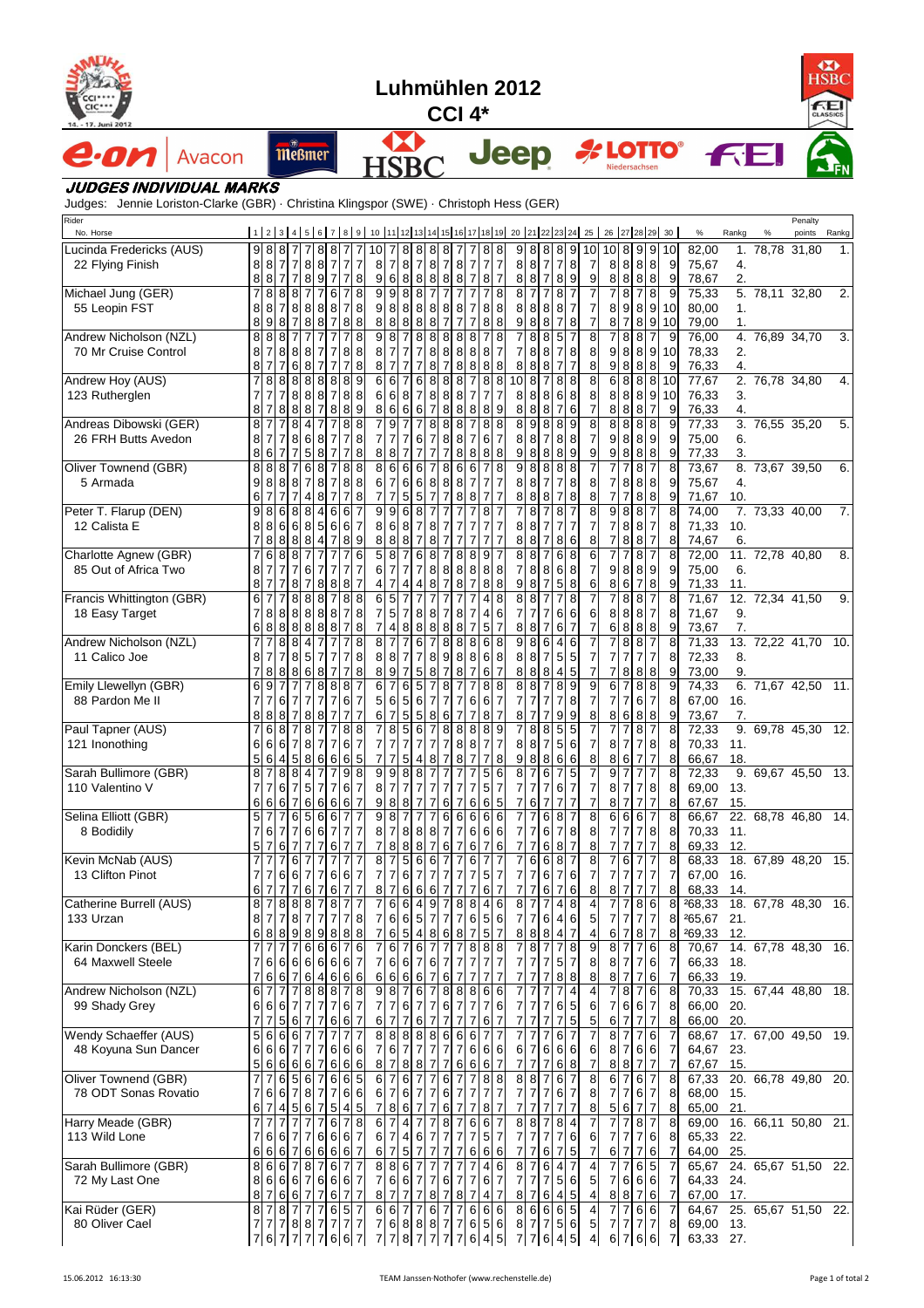| <b>HSBC</b><br>Luhmühlen 2012<br>$CCI***$<br>CLASSICS<br>cıc•<br>$CCI$ 4*<br>14. - 17. Juni 2012                          |        |                                                    |                                   |                                                         |                          |                                         |                                                       |                                                                                         |                                                    |                                        |                               |                                         |                                                    |                                         |                          |                                                                   |                                          |                                       |                                       |                                       |                                       |                                                     |                                                    |                                                  |                                         |                                                                   |                          |             |                             |              |                     |                   |  |                  |
|---------------------------------------------------------------------------------------------------------------------------|--------|----------------------------------------------------|-----------------------------------|---------------------------------------------------------|--------------------------|-----------------------------------------|-------------------------------------------------------|-----------------------------------------------------------------------------------------|----------------------------------------------------|----------------------------------------|-------------------------------|-----------------------------------------|----------------------------------------------------|-----------------------------------------|--------------------------|-------------------------------------------------------------------|------------------------------------------|---------------------------------------|---------------------------------------|---------------------------------------|---------------------------------------|-----------------------------------------------------|----------------------------------------------------|--------------------------------------------------|-----------------------------------------|-------------------------------------------------------------------|--------------------------|-------------|-----------------------------|--------------|---------------------|-------------------|--|------------------|
| e.on                                                                                                                      | Avacon |                                                    |                                   | <b>Meßmer</b>                                           |                          |                                         |                                                       |                                                                                         |                                                    |                                        |                               |                                         |                                                    |                                         |                          |                                                                   |                                          | <b>Jeep</b>                           |                                       |                                       |                                       | <b><i>A</i></b> LOTTO®                              |                                                    |                                                  |                                         | Niedersachsen                                                     |                          |             |                             |              | <b>FEI</b>          |                   |  |                  |
| <b>JUDGES INDIVIDUAL MARKS</b><br>Judges: Jennie Loriston-Clarke (GBR) · Christina Klingspor (SWE) · Christoph Hess (GER) |        |                                                    |                                   |                                                         |                          |                                         |                                                       |                                                                                         |                                                    |                                        |                               |                                         |                                                    |                                         |                          |                                                                   |                                          |                                       |                                       |                                       |                                       |                                                     |                                                    |                                                  |                                         |                                                                   |                          |             |                             |              |                     |                   |  |                  |
| Rider<br>No. Horse                                                                                                        |        |                                                    |                                   |                                                         |                          |                                         |                                                       |                                                                                         |                                                    |                                        |                               |                                         |                                                    |                                         |                          |                                                                   |                                          |                                       |                                       |                                       |                                       | 1 2 3 4 5 6 7 8 9 10 11 2 3 4 5 6 7 8 9 30          |                                                    |                                                  |                                         |                                                                   |                          |             | $\%$                        | Rankg        | $\%$                | Penalty<br>points |  | Rankg            |
| Lucinda Fredericks (AUS)                                                                                                  |        | $9\,$                                              | 8 8                               |                                                         | 77                       | $\mathbf{8}$                            | 8                                                     | 7<br>7                                                                                  | 10                                                 | $\overline{7}$                         |                               | 8888                                    |                                                    |                                         | $\overline{7}$           | $\overline{7}$                                                    | 88                                       |                                       | 988                                   |                                       | 8                                     | 9<br>10 <sup>1</sup>                                |                                                    |                                                  |                                         | 10 8 9 9                                                          | 10                       |             | 82,00                       |              | 1. 78,78 31,80      |                   |  | $\mathbf{1}$ .   |
| 22 Flying Finish                                                                                                          |        | 8<br>8                                             | 8 7<br>8 <sub>7</sub>             | $\overline{7}$<br>$\overline{7}$                        | 8<br>$\,8\,$             | $\boldsymbol{8}$<br>$\overline{9}$      | <sup>7</sup><br><sup>7</sup>                          | $\overline{7}$<br>$\overline{7}$<br>7<br>8                                              | 8<br>9                                             | $\overline{7}$<br>6                    | 8                             | 8 <sub>7</sub><br>8                     | 8<br>$\,8\,$                                       | 78<br>8                                 | 8                        | $\overline{7}$<br>$\overline{7}$<br>$\overline{7}$<br>8           | $\overline{7}$<br>7                      |                                       | 8 8 <br>8 8                           | $\overline{7}$<br>$\overline{7}$      | $\overline{7}$<br>8                   | 8<br>9                                              | $\overline{7}$<br>9                                |                                                  |                                         | 8 8 8 8<br>8 8 8 8                                                | 9                        | 9           | 75,67<br>78,67              | 4.<br>2.     |                     |                   |  |                  |
| Michael Jung (GER)<br>55 Leopin FST                                                                                       |        | $\overline{7}$<br>8<br>8                           | 8 8 8 7<br>8<br>98                | $\overline{7}$                                          | 8 8 <br>8                | $\overline{7}$<br>8<br>$\boldsymbol{8}$ | 6<br>8<br>$\overline{7}$                              | 8<br>7<br>$\boldsymbol{8}$<br>$\overline{7}$<br>$\bf 8$<br>8                            | 9<br>9<br>8                                        | 9<br>8<br>8                            | 8<br>8<br>8                   | 8<br>88<br>8                            | $\overline{7}$<br>8                                | 71<br>88<br>7 <sub>7</sub>              | 7                        | $\overline{7}$<br>7<br>7<br>8<br>7                                | 8<br>8 8<br>8                            | 8<br>8<br>9                           | 8<br>8                                | 7<br>8<br>8                           | 8<br>8<br>7                           | 7<br>7<br>8                                         | $\overline{7}$<br>$\overline{7}$<br>$\overline{7}$ | $\overline{7}$<br>8<br>8 <sup>1</sup>            | 87<br>$\overline{7}$                    | $\infty$<br>989<br>9<br>8                                         | 9<br>10<br>10            |             | 75,33<br>80,00<br>79,00     | 1.<br>1.     | 5. 78,11 32,80      |                   |  | 2.               |
| Andrew Nicholson (NZL)<br>70 Mr Cruise Control                                                                            |        | 8<br>8<br>8                                        | 8<br>7<br>$\overline{7}$          | 8                                                       | 8 8 <br>68               | $\overline{7}$<br>$\overline{7}$        | 7<br>7                                                | $\overline{7}$<br>8<br>8<br>$\boldsymbol{8}$<br>$\overline{7}$<br>8                     | 9<br>8<br>8                                        | 8<br>7<br>$\overline{7}$               | $\overline{7}$<br>7<br>7      | 8<br>7<br>7                             | 8<br>8<br>8                                        | 8<br>88<br>71                           | 8<br>8                   | 8<br>8<br>8<br>8<br>8                                             | 8<br>7<br>8                              | $\overline{7}$<br>8                   | 8<br>8<br>8                           | 8<br>8<br>8                           | 5<br>7<br>7                           | 8<br>$\overline{7}$                                 | $\overline{8}$<br>8<br>8                           | $\overline{9}$                                   | 8<br>8 8                                | $\overline{7}$<br>8<br>9 8 8 9<br>8                               | 9<br>10<br>9             |             | 76,00<br>78,33<br>76,33     | 2.<br>4.     | 4. 76,89 34,70      |                   |  | 3.               |
| Andrew Hoy (AUS)<br>123 Rutherglen                                                                                        |        | 7<br>$\overline{7}$<br>8                           | 8<br>$\overline{7}$<br>7          | 8<br>8                                                  | 88<br>8 8<br>8 8         | 8<br>8<br>$\overline{7}$                | 8<br>$\overline{7}$<br>8                              | 89<br>8 8 <br>$9$<br>8                                                                  | $6 \,$<br>6<br>8                                   | 6<br>6<br>6                            | $\overline{7}$<br>8<br>6      | 6<br>7<br>6                             | 8<br>8<br>7                                        | 88<br>88<br>8 8                         |                          | 8<br>$\overline{7}$<br>$\overline{7}$<br>$\overline{7}$<br>8<br>8 | 8<br>9                                   | 10<br>8                               | 8<br>8 8<br>8                         | $\overline{7}$<br>8<br>8              | 8<br>6                                | 8<br>8<br>6                                         | 8<br>8<br>7                                        | 8 8 8                                            |                                         | 6 8 8 8<br>8 8 8 9 10<br>$\overline{7}$                           | 10<br>9                  |             | 77,67<br>76,33<br>76,33     | 3.<br>4.     | 2. 76,78 34,80      |                   |  | 4.               |
| Andreas Dibowski (GER)<br>26 FRH Butts Avedon                                                                             |        | 8<br>8<br>8                                        | 7<br>6                            | 8<br>8 <sup>1</sup><br>$\overline{7}$<br>$\overline{7}$ | $\overline{4}$<br>6<br>5 | 7<br>8<br>$\boldsymbol{8}$              | 7<br>$\overline{7}$                                   | 8<br>8<br>$\overline{7}$<br>$\,8\,$<br>$\,8\,$<br>$\overline{7}$                        | $\overline{7}$<br>7<br>8                           | 9<br>$\overline{7}$<br>8               | $\overline{7}$<br>7<br>7      | $\overline{7}$<br>6<br>7                | 8<br>$\overline{7}$<br>$\overline{7}$              | 8<br>8<br>71                            | $\overline{8}$<br>8<br>8 | 8<br>$\overline{7}$<br>6<br>7<br>8<br>8                           | $\boldsymbol{8}$<br>8                    | 8<br>8<br>9                           | 9<br>8<br>8                           | 8<br>7<br>8                           | 8<br>8<br>8                           | 9<br>8<br>9                                         | $\overline{8}$<br>$\overline{\mathbf{7}}$<br>9     | 8<br>9 8 <br>9                                   | 8                                       | $888$<br>9<br> 8 <br>8<br>8                                       | 9                        | 9<br>9      | 77,33<br>75,00<br>77,33     | 6.<br>3.     | 3. 76.55 35.20      |                   |  | 5.               |
| Oliver Townend (GBR)<br>5 Armada                                                                                          |        | 8<br>9<br>6                                        | 818<br>88<br>$\overline{7}$       | 8<br>$\overline{7}$                                     | 6<br>$\overline{7}$<br>4 | 8<br>8<br>8                             | 7<br>$\overline{7}$                                   | 8<br>8<br>8<br>$\boldsymbol{8}$<br>$\overline{7}$<br>$\bf 8$                            | 8<br>6<br>$\overline{7}$                           | 6<br>$\overline{7}$<br>$\overline{7}$  | 6<br>6<br>5                   | 6<br>6<br>$5\phantom{.0}$               | $\boldsymbol{8}$<br>$\overline{7}$                 | 8<br>88<br>7 <sup>1</sup>               | 6<br>8                   | 7<br>6<br>$\overline{7}$<br>7<br>8<br>7                           | 8<br>$\overline{7}$<br>$\overline{7}$    | 9<br>8                                | 8<br>8<br>8 8                         | 8<br>$\overline{7}$<br>8              | 8<br>$\overline{7}$<br>$\overline{7}$ | 8<br>8<br>8                                         | 8<br>8                                             | $\overline{7}$<br>$\overline{7}$                 | $\overline{7}$<br>$\overline{7}$        | 8<br>$\overline{7}$<br>888<br>88                                  | 8                        | 9<br>9      | 73.67<br>75,67<br>71,67     | 4.<br>10.    | 8. 73.67 39.50      |                   |  | 6.               |
| Peter T. Flarup (DEN)<br>12 Calista E                                                                                     |        | 9<br>8<br>$\overline{7}$                           | 8 6<br>86<br>8                    | 8<br>8                                                  | 88<br>6 8<br>8           | 4<br>5<br>4                             | 6<br>6<br>7                                           | 6<br>$\overline{7}$<br>$\overline{7}$<br>$6 \,$<br>8<br>9                               | 9<br>8<br>8                                        | 9<br>6<br>8                            | 6<br>8<br>8                   | 8<br>$\overline{7}$                     | 7<br>8<br>8                                        | $\overline{7}$                          | $\overline{7}$<br>7      | 8<br>$\overline{7}$<br>7<br>7                                     | 7                                        | 8                                     | 8<br>8 8 <br>8                        | $\overline{7}$                        | 8<br>7<br>8                           | $\overline{7}$<br>$\overline{7}$<br>6               | 8<br>$\overline{7}$<br>8                           | 98<br>788<br>7                                   | 8                                       | 8<br>$\overline{7}$<br>$\overline{7}$<br>8<br>$\overline{7}$      | 8                        | 8<br>8      | 74,00<br>71,33<br>74,67     | 10.<br>6.    | 7. 73,33 40,00      |                   |  | $\overline{7}$ . |
| Charlotte Agnew (GBR)<br>85 Out of Africa Two                                                                             |        | $\overline{7}$<br>8<br>8                           | 6<br>71 7<br>$7\overline{7}$      | 8<br>8<br>$\overline{7}$<br>8                           | $\overline{7}$<br>6<br>7 | $\overline{7}$<br>$\overline{7}$<br>8   | $\overline{7}$<br>8                                   | $\,6$<br>7<br>$\overline{7}$<br>$\overline{7}$<br>$\overline{7}$<br>8                   | 5<br>6<br>4                                        | 8<br>$\overline{7}$<br>$\overline{7}$  | $\overline{7}$<br>7<br>4      | 6<br>7<br>4                             | 8<br>8<br>8                                        | $\overline{7}$<br>8<br>$\overline{7}$   | 8<br>8<br>8              | 9<br>8<br>8<br>8<br>$\overline{7}$<br>8                           | 8<br>8                                   | 8<br>7<br>9                           | 8<br>8<br>8                           | 7<br>8<br>$\overline{7}$              | 6<br>6<br>5                           | 8<br>8<br>8                                         | 6<br>$\overline{7}$<br>6                           | 7<br>9<br>8                                      | $\overline{7}$<br>8<br>$6 \overline{7}$ | 8<br>$\overline{7}$<br>9<br>8<br>8                                | 8                        | 9<br>9      | 72,00<br>75,00<br>71,33     | 6.<br>11.    | 11. 72,78 40,80     |                   |  | 8.               |
| Francis Whittington (GBR)<br>18 Easy Target                                                                               |        | 6<br>$\overline{7}$<br>6                           | 8 8 <br>8888                      |                                                         | 88<br>888                | 8<br>$\boldsymbol{8}$                   | 8<br>8                                                | 8<br>8<br>$\overline{7}$<br>$\boldsymbol{8}$<br>$\overline{7}$<br>8                     | 6<br>$\overline{7}$<br>$\overline{7}$              | 5<br>$5\overline{)}$<br>$\overline{4}$ | $\overline{7}$<br>8           | 8<br>8                                  | 8<br>$\,$ 8 $\,$                                   | 71<br>88                                | 8                        | 4<br>$\overline{4}$<br>7<br>5<br>7                                | 8<br>6<br>7                              | $\overline{7}$                        | 8 8 <br>$\overline{7}$<br>8 8         | $\overline{7}$<br>7                   | 6<br>6                                | 8<br>6<br>$\overline{7}$                            | $\overline{7}$<br>6<br>7                           | 8 8 8                                            | 88                                      | $\overline{7}$<br>$\overline{7}$<br>6 8 8 8                       |                          | 8<br>8<br>9 | 71,67<br>71,67<br>73,67     | 9.<br>7.     | 12. 72,34 41,50     |                   |  | 9.               |
| Andrew Nicholson (NZL)<br>11 Calico Joe                                                                                   |        | 7<br>8<br>$\overline{7}$                           | 7<br>8                            | 8<br>8<br>7<br>8<br>8                                   | 4<br>85<br>6             | $\overline{\mathcal{I}}$<br>8           | 7<br>7                                                | 8<br>7<br>8<br>7<br>$\bf8$<br>$\overline{7}$                                            | 8<br>8<br>8                                        | 8<br>9                                 | 7<br>7<br>7                   | 6<br>$\overline{7}$<br>5                | 8<br>8                                             | 81<br>98<br>$\overline{7}$              | 8<br>8                   | 8<br>6<br>8<br>6<br>$\overline{7}$                                | 8<br>6 8<br>7                            | 9<br>8                                | 8<br>8 8 <br>8                        | 6<br>7<br>8                           | 4<br>5<br>4                           | 6<br>$5\phantom{.0}$<br>$\sqrt{5}$                  | $\overline{7}$<br>$\overline{7}$<br>$\overline{7}$ | $\overline{7}$<br>$\overline{7}$                 | 8<br>$\overline{7}$<br>8                | 8<br>$\overline{7}$<br>$\overline{7}$<br>$\overline{7}$<br>8<br>8 | 8                        | 8<br>9      | 71,33<br>72,33<br>73,00     | 8.<br>9.     | 13. 72,22 41,70     |                   |  | 10.              |
| Emily Llewellyn (GBR)<br>88 Pardon Me II                                                                                  |        | 6<br>$\overline{7}$<br>8                           | 9<br>7<br>8                       | 6<br>7<br>8<br>$\overline{7}$                           | 7<br>8                   | 8<br>$\overline{7}$<br>8                | 8<br>7<br><sup>7</sup>                                | 8<br>$\overline{7}$<br>6<br>$\overline{7}$<br>$\overline{7}$<br>$\overline{7}$          | 6<br>5<br>6                                        | $\overline{7}$<br>6<br>7               | 6<br>5<br>5                   | 5<br>6<br>$5\overline{)}$               | 7<br>$\overline{7}$<br>8                           | 8<br>71<br>6                            | 7<br>7<br>7              | 8<br>$\overline{7}$<br>6<br>6<br>8<br>$\overline{7}$              | 8<br>7                                   | 8<br>$\overline{7}$<br>8              | 8<br>$\overline{7}$<br>$\overline{7}$ | $\overline{7}$<br>7<br>$\overline{7}$ | 8<br>7<br>9                           | 9<br>8<br>9                                         | 9<br>$\overline{\mathbf{7}}$<br>8                  | 6<br>71<br>8                                     | $\overline{7}$<br>$\overline{7}$<br>6   | $\frac{8}{8}$<br>$\overline{7}$<br>$6 \overline{6}$<br>8<br>8     | 9                        | 8<br>9      | 74,33<br>67,00<br>73,67     | 16.<br>7.    | 6. 71,67 42,50      |                   |  | 11.              |
| Paul Tapner (AUS)<br>121 Inonothing                                                                                       |        | $\overline{7}$<br>6<br>5                           | 6 8<br>66                         | $\overline{7}$                                          | 8<br>787                 | $\overline{7}$                          | $\overline{7}$<br>$\overline{7}$                      | 8<br>8<br>$\overline{7}$<br>6<br>6 4 5 8 6 6 65                                         | $\overline{7}$<br>7<br>$\overline{7}$              | 8<br>$\overline{7}$<br>$\overline{7}$  | 5<br>7                        | 6<br>$\overline{7}$<br>$5$ 4 8          | $\overline{7}$<br>$\overline{7}$                   | 88<br>78                                |                          | 8<br>8<br>$\overline{7}$<br>8<br>78778                            | 9<br>$\overline{7}$                      | 7                                     | 8<br>8 8                              | 8<br>$\overline{7}$<br>9886           | 5<br>5                                | 5<br>6<br>6                                         | $\overline{7}$<br>$\overline{7}$<br>8              | $\overline{7}$<br>8<br>867                       | $\overline{7}$<br>$\overline{7}$        | $\overline{7}$<br>8<br>8<br>$\overline{7}$<br>$\overline{7}$      | 8                        | 8<br>8      | 72,33<br>70,33<br>66,67     | 11.<br>18.   | 9.69,7845,30        |                   |  | 12.              |
| Sarah Bullimore (GBR)<br>110 Valentino V                                                                                  |        | 8<br>$\overline{7}$<br>6                           | 7884<br>7 6 7 5 7<br>6 6 7 6 6    |                                                         |                          | 7                                       | $\overline{7}$                                        | 9 8 <br>6 7<br>$667$                                                                    | 9<br>$\bf{8}$<br>9                                 | 9<br>$\overline{7}$<br>8               | 8                             | 88<br>7 <sub>7</sub><br>7               | $\overline{7}$<br>$\overline{7}$<br>$\overline{7}$ | 71<br>7<br>$6 \overline{\smash{7}}$     | 7<br>7                   | $\overline{7}$<br>6 6                                             | 5 6<br>5 <sub>7</sub><br>$5\phantom{.0}$ | 8<br>$\overline{7}$<br>$\overline{7}$ | 7<br>$\overline{7}$<br>6              | 6<br>$\overline{7}$<br>$\overline{7}$ | 7<br>$\,$ 6<br>$\overline{7}$         | $5\phantom{.0}$<br>$\overline{7}$<br>$\overline{7}$ | 7<br>$\overline{7}$<br>$\overline{7}$              | 9<br>8 <sub>7</sub>                              | 7                                       | $\overline{7}$<br>7<br>78<br>$8777$                               | 8                        | 8<br>8      | 72,33<br>69,00<br>67,67     | 13.<br>15.   | 9. 69,67 45,50 13.  |                   |  |                  |
| Selina Elliott (GBR)<br>8 Bodidily                                                                                        |        | $\mathbf 5$<br>$\overline{7}$<br>5                 | 77<br>6 7 7 6 6<br>76             | $\overline{7}$                                          | 656<br>$\overline{7}$    | $\overline{7}$                          | 6<br>$\overline{7}$<br>6                              | $\overline{7}$<br>$\overline{7}$<br>$7\overline{7}$<br>$\overline{7}$<br>$\overline{7}$ | $\overline{9}$<br>8 <sup>1</sup><br>$\overline{7}$ | 8<br>$\overline{7}$<br>8               | $\overline{7}$<br>8           | $\overline{7}$<br>888<br>8              | $\overline{7}$<br>$\overline{7}$                   | 66<br>77<br>61                          | 7                        | $\overline{6}$<br>6<br>666<br>7<br>6                              | 6<br>6                                   | 7<br>7                                | $\overline{7}$<br>7<br>$\overline{7}$ | $6\overline{6}$<br>6<br>6             | 8<br>7<br>8                           | $\overline{7}$<br>8<br>$\overline{7}$               | 8<br>8<br>8                                        | 77<br>7                                          | $\overline{7}$                          | 6 6 6 7<br>78<br>$\overline{7}$<br>7                              | 8                        | 8<br>8      | 66,67<br>70,33<br>69,33     | 11.<br>12.   | 22. 68,78 46,80     |                   |  | - 14.            |
| Kevin McNab (AUS)<br>13 Clifton Pinot                                                                                     |        | $\overline{7}$<br>$\overline{7}$<br>6              | 76<br>$7\overline{7}$             | 6<br>6<br>$\overline{7}$                                | $\overline{7}$<br>6      | $\overline{7}$<br>$\overline{7}$        | 6<br>6                                                | 7<br>$\overline{7}$<br>6<br>$\overline{7}$<br>$\overline{7}$                            | 8<br>$\overline{7}$<br>8                           | $\overline{7}$<br>$\overline{7}$       | 5<br>$6 \,$<br>6              | 6<br>$\overline{7}$<br>6                | $\,6$<br>$\overline{7}$<br>$6\phantom{1}6$         | 7<br>71                                 | 7<br>7                   | 6<br>7<br>5 <sub>l</sub><br>7<br>6<br>7                           | 7                                        | $\overline{7}$<br>7                   | 6<br>7<br>7                           | 6<br>6<br>6                           | 8<br>7<br>7                           | 6<br>6                                              | 8<br>7<br>8                                        | 7<br>$\overline{7}$<br>8 7                       | 6 7<br>$\overline{7}$                   | 7<br>$\overline{7}$<br>$\overline{7}$<br>77                       | 8                        | 7<br>8      | 68,33<br>67,00<br>68,33     | 16.<br>14.   | 18. 67,89 48,20     |                   |  | 15.              |
| Catherine Burrell (AUS)<br>133 Urzan                                                                                      |        | 8<br>8<br>6                                        | 78<br>717<br>8 8                  |                                                         | 88<br>877<br>9 8         | $\overline{7}$<br>9                     | 8<br>7<br>8                                           | $\overline{7}$<br>$\overline{7}$<br>$\overline{7}$<br>8<br>8<br>8                       | 7<br>7<br>7                                        | 6<br>6<br>6                            | 6<br>6<br>5                   | $\overline{4}$<br>$5\overline{)}$<br>4  | 9<br>$\overline{7}$<br>8                           | 78<br>71 7<br>6                         | 8                        | 8<br>$\overline{5}$<br>6<br>5<br>7                                | 46<br>6<br>7                             | 8 <sup>1</sup><br>7<br>8              | 7<br>8                                | 6<br>8                                | 4<br>4<br>4                           | 8<br>$6\phantom{.}6$<br>$\overline{7}$              | 4<br>5<br>4                                        | $\overline{7}$<br>77<br>6 <sup>1</sup>           | $\overline{7}$<br>$\overline{7}$        | $8\overline{6}$<br>7 <sub>7</sub><br> 8 <br>$\overline{7}$        | 8                        | 8<br>8      | 268.33<br>265,67<br>269,33  | 21.<br>12.   | 18. 67,78 48,30 16. |                   |  |                  |
| Karin Donckers (BEL)<br>64 Maxwell Steele                                                                                 |        | $\overline{7}$<br>$\overline{7}$<br>$\overline{7}$ | 6 6 6 6 6<br>6 6                  | $\overline{7}$                                          | 6<br>$6 \,$              | 6<br>4                                  | 6<br>6<br>6                                           | 7<br>6<br>6<br>$\overline{7}$<br>6<br>6                                                 | $\overline{7}$<br>$\overline{7}$<br>6              | 6<br>6<br>6                            | $\overline{7}$<br>6<br>$6 \,$ | 6<br>$\overline{7}$<br>6                | $\overline{7}$<br>6<br>$\overline{7}$              | 71<br>7<br>6                            | 7<br>7<br>7              | 8<br>8<br>7<br>7<br>$\overline{7}$<br>7                           | 8                                        | $\overline{7}$                        | 8<br>7<br>$\overline{7}$              | 7<br>7                                | 7<br>5<br>8                           | 8<br>$\overline{7}$<br>8                            | 9<br>8<br>8                                        | 8<br>87<br>8 <sup>8</sup>                        | $\overline{7}$<br>$\overline{7}$        | 76<br>6<br>$\overline{7}$<br>$\overline{7}$<br>$6\phantom{1}6$    | 8<br>$\overline{7}$      | 7           | 70,67<br>66,33<br>66,33     | 18.<br>19.   | 14. 67,78 48,30     |                   |  | 16.              |
| Andrew Nicholson (NZL)<br>99 Shady Grey                                                                                   |        | 6<br>6<br>$\overline{7}$                           | $\overline{7}$<br>66<br>75677     |                                                         |                          | $\frac{8}{8}$<br>$\overline{7}$         | 8<br>6                                                | $\overline{7 8}$<br>$\overline{7}$<br>$6 \overline{6}$<br>6<br>$\overline{7}$           | 9<br>$\overline{7}$<br>6                           | 8<br>$\overline{7}$<br>$\overline{7}$  | $\overline{7}$<br>6<br>7      | 6<br>$\overline{7}$<br>6                | 7<br>7<br>7                                        | 88<br>67<br>7 7                         |                          | 8<br>6<br>$\overline{7}$<br>6<br>7                                | 6<br>76<br>7                             | 7<br>$\overline{7}$                   | 7<br>$\overline{7}$                   | 7                                     | $6 \mid$<br>7                         | 4<br>5<br>5                                         | 4<br>6<br>5                                        | 7<br>6                                           | $\overline{7}$                          | 8 7 6<br>7667<br>$\overline{7}$<br>$\overline{7}$                 | 8<br>8                   | 8           | 70,33<br>66,00<br>66,00     | 20.<br>20.   | 15. 67,44 48,80     |                   |  | 18.              |
| Wendy Schaeffer (AUS)<br>48 Koyuna Sun Dancer                                                                             |        | 5<br>6<br>$\sqrt{5}$                               | 66<br>6 6 7 7 7<br>6 6 6 6        | $6 \overline{6}$                                        |                          | $\overline{7}$                          | 6<br>6                                                | $\overline{7}$<br>$\overline{7}$<br>6 6<br>6 6                                          | 8<br>7<br>$\bf8$                                   | 8<br>6<br>$\overline{7}$               | 8<br>$\overline{7}$<br>8      | 8<br>7<br>8                             | 8<br>$\overline{7}$<br>7                           | 66<br>7 <sub>7</sub><br>$\overline{7}$  | 6                        | $\overline{7}$<br>6<br>6<br>$6\phantom{.}6$<br>6                  | 6 6<br>7                                 | 6<br>$\overline{7}$                   | $\overline{7}$<br>$\overline{7}$      | 6<br>$\overline{7}$                   | 6<br>6<br>6                           | $\overline{7}$<br>6<br>8                            | $\overline{7}$<br>6<br>$\overline{7}$              | 8<br>8                                           | $\overline{7}$                          | $\overline{7}$<br>6<br>766<br>8 8 7 7                             | $\overline{7}$<br>7<br>7 |             | 68,67<br>64,67<br>67,67     | 23.<br>15.   | 17. 67,00 49,50     |                   |  | 19.              |
| Oliver Townend (GBR)<br>78 ODT Sonas Rovatio                                                                              |        | $\overline{7}$<br>$\overline{7}$<br>6              | $\overline{7}$<br>66<br>7456      | 6 5 6 7<br>$\overline{7}$                               |                          | 8 <sub>7</sub><br>$\overline{7}$        | $6 \overline{6}$<br>$\overline{7}$<br>$5\phantom{.0}$ | 6 5<br>6 6<br>4<br>$5\phantom{.0}$                                                      | 6<br>6<br>7                                        | $\overline{7}$<br>$\overline{7}$<br>8  | 6<br>6<br>6                   | $\overline{7}$<br>7                     | 7<br>$\overline{7}$                                | $6 \mid$<br>6<br>6                      | $\overline{7}$<br>7      | $\overline{7}$<br>7<br>7<br>8                                     | 88                                       | $\overline{7}$                        | $\frac{8}{2}$<br>$\overline{7}$       | 7                                     | 6<br>6<br>7                           | $\overline{7}$<br>$\overline{7}$<br>$\overline{7}$  | 8<br>8<br>8                                        | $6 \mid$<br>$\overline{7}$<br>5 <sub>l</sub>     | 7<br>$\overline{7}$<br>6 7              | 6 7<br>$6 \overline{6}$<br>$\overline{7}$<br>$\overline{7}$       | 8                        | 8<br>8      | 67,33<br>68,00<br>65,00     | 15.<br>21.   | 20. 66,78 49,80     |                   |  | 20.              |
| Harry Meade (GBR)<br>113 Wild Lone                                                                                        |        | $\overline{7}$<br>$\overline{7}$<br>6              | $\overline{7}$<br>66<br>6 6 7 6 6 | $\overline{7}$                                          | $\overline{7}$           | $\overline{7}$<br>6                     | 6<br>6 6<br>6 6                                       | 78<br>$\overline{7}$<br>$\overline{7}$                                                  | 6<br>6<br>6                                        | $\overline{7}$<br>7<br>$\overline{7}$  | $\overline{4}$<br>4<br>5      | $\overline{7}$<br>6<br>$\overline{7}$   | 7<br>7<br>$\overline{7}$                           | 8 <sub>7</sub><br>71<br>$7\overline{7}$ | 7                        | 6<br>5<br>$6\phantom{.}6$<br>6                                    | $6 \overline{\smash{7}}$<br>6            | $\overline{7}$                        | 88<br>7<br>77                         | 7<br>$6\phantom{.}6$                  | 8<br>7<br>$\overline{7}$              | 4<br>6<br>$\sqrt{5}$                                | $\overline{7}$<br>6<br>$\overline{7}$              | $\overline{7}$<br>7<br>$6 \mid$                  | $\overline{7}$<br>7                     | 87<br>7 6<br>776                                                  | 8<br>$\overline{7}$      | 8           | 69,00<br>65,33<br>64,00     | 22.<br>25.   | 16. 66,11 50,80 21. |                   |  |                  |
| Sarah Bullimore (GBR)<br>72 My Last One                                                                                   |        | 8<br>8<br>8                                        | 66<br>66676<br>7667               |                                                         |                          | 87<br>7                                 | 6<br>6                                                | $\overline{7}$<br>667<br>$\overline{7}$<br>$\overline{7}$                               | 8<br>7<br>8                                        | 8<br>6<br>$\overline{7}$               | 6<br>6<br>$\overline{7}$      | 7<br>7                                  | $\overline{7}$<br>8                                | 6 7<br>71                               | 8                        | 4<br>6<br>$\overline{7}$<br>7<br>4                                | 6<br>7                                   | 8<br>$\overline{7}$<br>8              | $\overline{7}$<br>$\overline{7}$      | 6<br>7<br>6                           | 4<br>5 <sub>l</sub><br>4              | $\overline{7}$<br>6<br>$\overline{5}$               | 4<br>$\mathbf 5$<br>4                              |                                                  | $\overline{7}$                          | 65<br>7666<br>8 8 7 6                                             | 7                        | 7           | 65,67<br>64,33<br>67,00     | 24.<br>- 17. | 24. 65,67 51,50 22. |                   |  |                  |
| Kai Rüder (GER)<br>80 Oliver Cael                                                                                         |        | 8<br>$\overline{7}$<br>$\overline{7}$              | 78<br>77<br>67                    | $\overline{7}$<br>$\overline{7}$                        | 887                      | $\frac{1}{2}$<br>$\overline{7}$         | 6 5<br>$\overline{7}$<br>6                            | $\overline{7}$<br>$\overline{7}$<br>$\overline{7}$<br>6<br>$\overline{7}$               | $6 \mid$<br>7<br>$\overline{7}$                    | $6\phantom{.}6$<br>$\overline{7}$      | 6 7<br>8                      | $\overline{7}$<br>888<br>$\overline{7}$ | 6<br>$\overline{7}$                                | 717<br>7                                | 7                        | 666<br>6 5<br>6<br>4                                              | 6<br>5                                   | $\overline{7}$                        | 8 6 <br>87                            | 6 6<br>7<br>6                         | 5<br>4                                | 5<br>$6\phantom{.}6$<br>5                           | 4<br>5                                             | $\overline{7}$<br>$\mathbf{7}$<br>6 <sup>1</sup> | 7<br>$\overline{7}$<br>$\overline{7}$   | 66<br>77<br>6 6                                                   | 7                        | 8<br>7      | 64,67<br>69,00<br>63,33 27. | 13.          | 25. 65,67 51,50 22. |                   |  |                  |

**NULL** 

**AND**